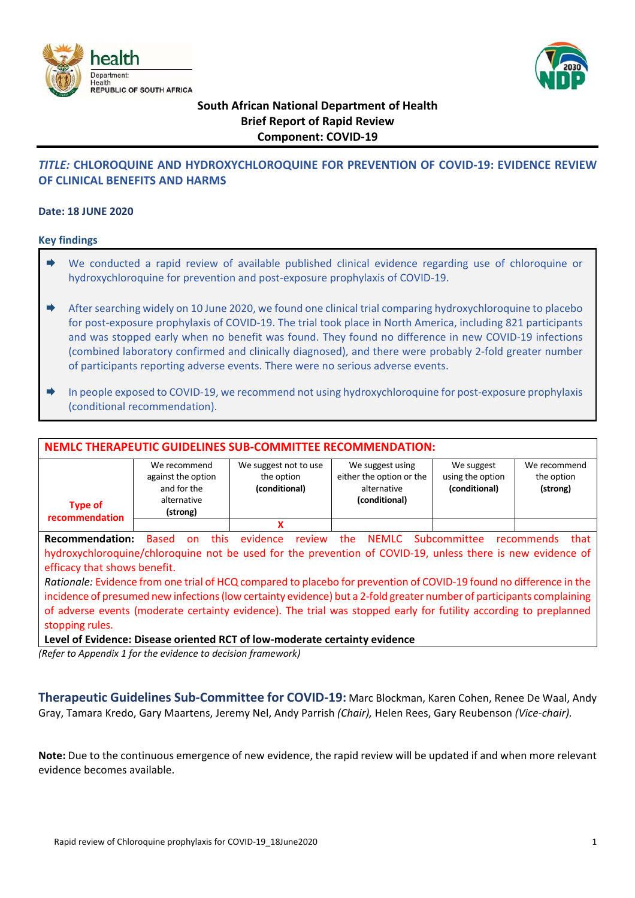



# **South African National Department of Health Brief Report of Rapid Review Component: COVID‐19**

### *TITLE:* **CHLOROQUINE AND HYDROXYCHLOROQUINE FOR PREVENTION OF COVID‐19: EVIDENCE REVIEW OF CLINICAL BENEFITS AND HARMS**

#### **Date: 18 JUNE 2020**

#### **Key findings**

- $\rightarrow$  We conducted a rapid review of available published clinical evidence regarding use of chloroquine or hydroxychloroquine for prevention and post‐exposure prophylaxis of COVID‐19.
- ♦ After searching widely on 10 June 2020, we found one clinical trial comparing hydroxychloroquine to placebo for post-exposure prophylaxis of COVID-19. The trial took place in North America, including 821 participants and was stopped early when no benefit was found. They found no difference in new COVID‐19 infections (combined laboratory confirmed and clinically diagnosed), and there were probably 2‐fold greater number of participants reporting adverse events. There were no serious adverse events.
- In people exposed to COVID‐19, we recommend not using hydroxychloroquine for post‐exposure prophylaxis (conditional recommendation).

| <b>NEMLC THERAPEUTIC GUIDELINES SUB-COMMITTEE RECOMMENDATION:</b>                                          |                                                                              |       |                                                      |        |                                                                              |  |                                                 |                                        |  |
|------------------------------------------------------------------------------------------------------------|------------------------------------------------------------------------------|-------|------------------------------------------------------|--------|------------------------------------------------------------------------------|--|-------------------------------------------------|----------------------------------------|--|
| <b>Type of</b><br>recommendation                                                                           | We recommend<br>against the option<br>and for the<br>alternative<br>(strong) |       | We suggest not to use<br>the option<br>(conditional) |        | We suggest using<br>either the option or the<br>alternative<br>(conditional) |  | We suggest<br>using the option<br>(conditional) | We recommend<br>the option<br>(strong) |  |
|                                                                                                            |                                                                              |       | X                                                    |        |                                                                              |  |                                                 |                                        |  |
| <b>Recommendation:</b>                                                                                     | Based<br>on                                                                  | this. | evidence                                             | review | the                                                                          |  | NEMLC Subcommittee recommends                   | that                                   |  |
| hydroxychloroquine/chloroquine not be used for the prevention of COVID-19, unless there is new evidence of |                                                                              |       |                                                      |        |                                                                              |  |                                                 |                                        |  |
| efficacy that shows benefit.                                                                               |                                                                              |       |                                                      |        |                                                                              |  |                                                 |                                        |  |

*Rationale:* Evidence from one trial of HCQ compared to placebo for prevention of COVID‐19 found no difference in the incidence of presumed new infections (low certainty evidence) but a 2‐fold greater number of participants complaining of adverse events (moderate certainty evidence). The trial was stopped early for futility according to preplanned stopping rules.

**Level of Evidence: Disease oriented RCT of low‐moderate certainty evidence**

*(Refer to Appendix 1 for the evidence to decision framework)* 

**Therapeutic Guidelines Sub‐Committee for COVID‐19:** Marc Blockman, Karen Cohen, Renee De Waal, Andy Gray, Tamara Kredo, Gary Maartens, Jeremy Nel, Andy Parrish *(Chair),* Helen Rees, Gary Reubenson *(Vice‐chair).*

**Note:** Due to the continuous emergence of new evidence, the rapid review will be updated if and when more relevant evidence becomes available.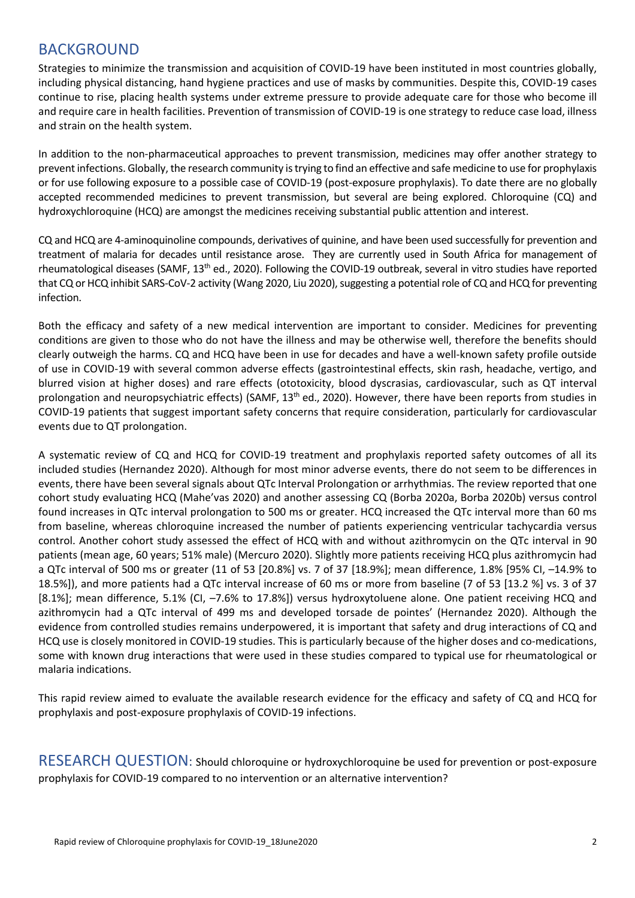## BACKGROUND

Strategies to minimize the transmission and acquisition of COVID‐19 have been instituted in most countries globally, including physical distancing, hand hygiene practices and use of masks by communities. Despite this, COVID‐19 cases continue to rise, placing health systems under extreme pressure to provide adequate care for those who become ill and require care in health facilities. Prevention of transmission of COVID-19 is one strategy to reduce case load, illness and strain on the health system.

In addition to the non-pharmaceutical approaches to prevent transmission, medicines may offer another strategy to prevent infections. Globally, the research community is trying to find an effective and safe medicine to use for prophylaxis or for use following exposure to a possible case of COVID‐19 (post‐exposure prophylaxis). To date there are no globally accepted recommended medicines to prevent transmission, but several are being explored. Chloroquine (CQ) and hydroxychloroquine (HCQ) are amongst the medicines receiving substantial public attention and interest.

CQ and HCQ are 4‐aminoquinoline compounds, derivatives of quinine, and have been used successfully for prevention and treatment of malaria for decades until resistance arose. They are currently used in South Africa for management of rheumatological diseases (SAMF, 13<sup>th</sup> ed., 2020). Following the COVID-19 outbreak, several in vitro studies have reported that CQ or HCQ inhibit SARS‐CoV‐2 activity (Wang 2020, Liu 2020), suggesting a potential role of CQ and HCQ for preventing infection.

Both the efficacy and safety of a new medical intervention are important to consider. Medicines for preventing conditions are given to those who do not have the illness and may be otherwise well, therefore the benefits should clearly outweigh the harms. CQ and HCQ have been in use for decades and have a well-known safety profile outside of use in COVID‐19 with several common adverse effects (gastrointestinal effects, skin rash, headache, vertigo, and blurred vision at higher doses) and rare effects (ototoxicity, blood dyscrasias, cardiovascular, such as QT interval prolongation and neuropsychiatric effects) (SAMF,  $13<sup>th</sup>$  ed., 2020). However, there have been reports from studies in COVID‐19 patients that suggest important safety concerns that require consideration, particularly for cardiovascular events due to QT prolongation.

A systematic review of CQ and HCQ for COVID‐19 treatment and prophylaxis reported safety outcomes of all its included studies (Hernandez 2020). Although for most minor adverse events, there do not seem to be differences in events, there have been several signals about QTc Interval Prolongation or arrhythmias. The review reported that one cohort study evaluating HCQ (Mahe'vas 2020) and another assessing CQ (Borba 2020a, Borba 2020b) versus control found increases in QTc interval prolongation to 500 ms or greater. HCQ increased the QTc interval more than 60 ms from baseline, whereas chloroquine increased the number of patients experiencing ventricular tachycardia versus control. Another cohort study assessed the effect of HCQ with and without azithromycin on the QTc interval in 90 patients (mean age, 60 years; 51% male) (Mercuro 2020). Slightly more patients receiving HCQ plus azithromycin had a QTc interval of 500 ms or greater (11 of 53 [20.8%] vs. 7 of 37 [18.9%]; mean difference, 1.8% [95% CI, –14.9% to 18.5%]), and more patients had a QTc interval increase of 60 ms or more from baseline (7 of 53 [13.2 %] vs. 3 of 37 [8.1%]; mean difference, 5.1% (CI, –7.6% to 17.8%]) versus hydroxytoluene alone. One patient receiving HCQ and azithromycin had a QTc interval of 499 ms and developed torsade de pointes' (Hernandez 2020). Although the evidence from controlled studies remains underpowered, it is important that safety and drug interactions of CQ and HCQ use is closely monitored in COVID-19 studies. This is particularly because of the higher doses and co-medications, some with known drug interactions that were used in these studies compared to typical use for rheumatological or malaria indications.

This rapid review aimed to evaluate the available research evidence for the efficacy and safety of CQ and HCQ for prophylaxis and post‐exposure prophylaxis of COVID‐19 infections.

RESEARCH QUESTION: Should chloroquine or hydroxychloroquine be used for prevention or post-exposure prophylaxis for COVID‐19 compared to no intervention or an alternative intervention?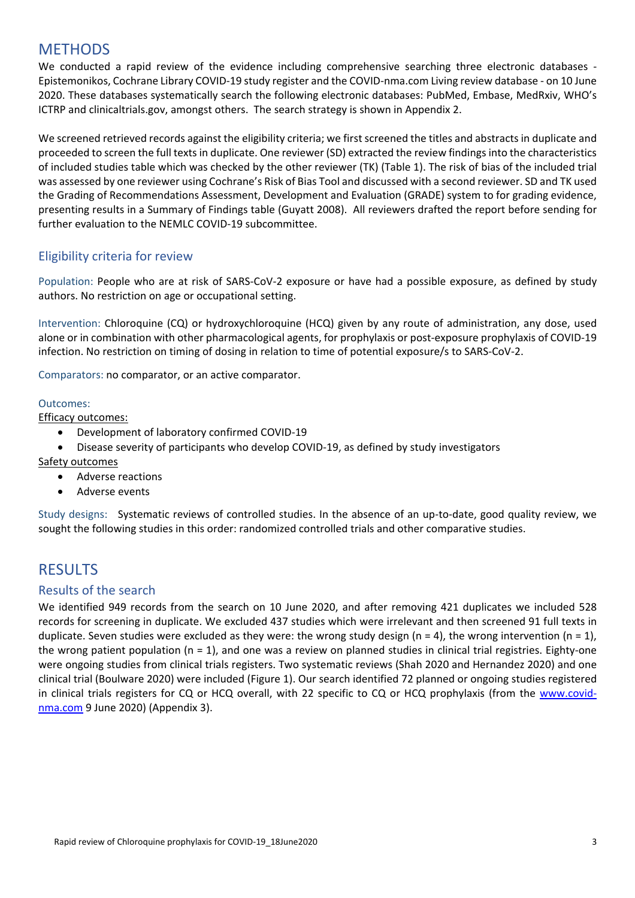# **METHODS**

We conducted a rapid review of the evidence including comprehensive searching three electronic databases -Epistemonikos, Cochrane Library COVID‐19 study register and the COVID‐nma.com Living review database ‐ on 10 June 2020. These databases systematically search the following electronic databases: PubMed, Embase, MedRxiv, WHO's ICTRP and clinicaltrials.gov, amongst others. The search strategy is shown in Appendix 2.

We screened retrieved records against the eligibility criteria; we first screened the titles and abstracts in duplicate and proceeded to screen the full texts in duplicate. One reviewer (SD) extracted the review findings into the characteristics of included studies table which was checked by the other reviewer (TK) (Table 1). The risk of bias of the included trial was assessed by one reviewer using Cochrane's Risk of Bias Tool and discussed with a second reviewer. SD and TK used the Grading of Recommendations Assessment, Development and Evaluation (GRADE) system to for grading evidence, presenting results in a Summary of Findings table (Guyatt 2008). All reviewers drafted the report before sending for further evaluation to the NEMLC COVID‐19 subcommittee.

### Eligibility criteria for review

Population: People who are at risk of SARS-CoV-2 exposure or have had a possible exposure, as defined by study authors. No restriction on age or occupational setting.

Intervention: Chloroquine (CQ) or hydroxychloroquine (HCQ) given by any route of administration, any dose, used alone or in combination with other pharmacological agents, for prophylaxis or post‐exposure prophylaxis of COVID‐19 infection. No restriction on timing of dosing in relation to time of potential exposure/s to SARS‐CoV‐2.

Comparators: no comparator, or an active comparator.

#### Outcomes:

Efficacy outcomes:

● Development of laboratory confirmed COVID-19

Disease severity of participants who develop COVID‐19, as defined by study investigators

#### Safety outcomes

- Adverse reactions
- Adverse events

Study designs: Systematic reviews of controlled studies. In the absence of an up-to-date, good quality review, we sought the following studies in this order: randomized controlled trials and other comparative studies.

### **RESULTS**

#### Results of the search

We identified 949 records from the search on 10 June 2020, and after removing 421 duplicates we included 528 records for screening in duplicate. We excluded 437 studies which were irrelevant and then screened 91 full texts in duplicate. Seven studies were excluded as they were: the wrong study design (n = 4), the wrong intervention (n = 1), the wrong patient population ( $n = 1$ ), and one was a review on planned studies in clinical trial registries. Eighty-one were ongoing studies from clinical trials registers. Two systematic reviews (Shah 2020 and Hernandez 2020) and one clinical trial (Boulware 2020) were included (Figure 1). Our search identified 72 planned or ongoing studies registered in clinical trials registers for CQ or HCQ overall, with 22 specific to CQ or HCQ prophylaxis (from the www.covidnma.com 9 June 2020) (Appendix 3).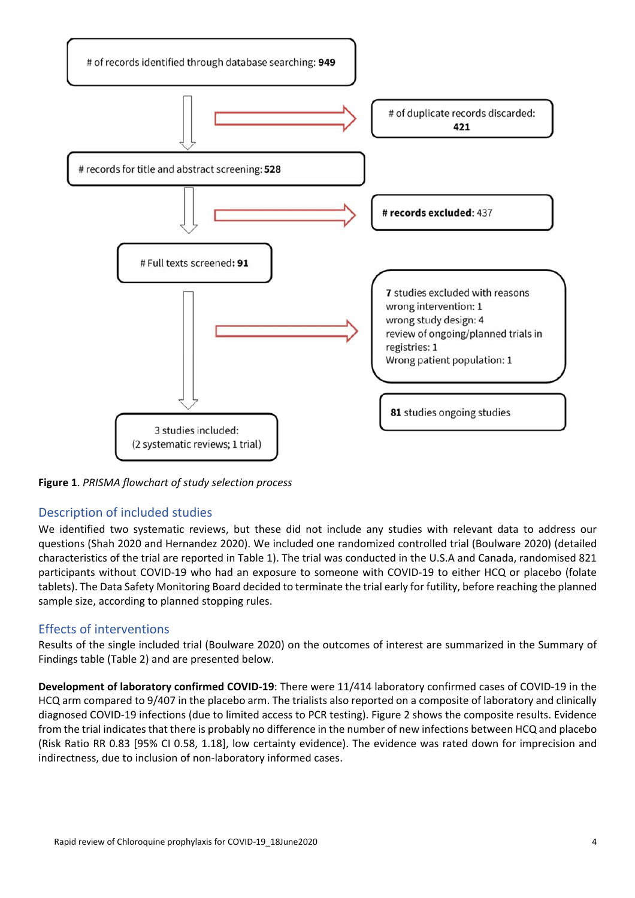

**Figure 1**. *PRISMA flowchart of study selection process*

### Description of included studies

We identified two systematic reviews, but these did not include any studies with relevant data to address our questions (Shah 2020 and Hernandez 2020). We included one randomized controlled trial (Boulware 2020) (detailed characteristics of the trial are reported in Table 1). The trial was conducted in the U.S.A and Canada, randomised 821 participants without COVID‐19 who had an exposure to someone with COVID‐19 to either HCQ or placebo (folate tablets). The Data Safety Monitoring Board decided to terminate the trial early for futility, before reaching the planned sample size, according to planned stopping rules.

#### Effects of interventions

Results of the single included trial (Boulware 2020) on the outcomes of interest are summarized in the Summary of Findings table (Table 2) and are presented below.

**Development of laboratory confirmed COVID‐19**: There were 11/414 laboratory confirmed cases of COVID‐19 in the HCQ arm compared to 9/407 in the placebo arm. The trialists also reported on a composite of laboratory and clinically diagnosed COVID‐19 infections (due to limited access to PCR testing). Figure 2 shows the composite results. Evidence from the trial indicates that there is probably no difference in the number of new infections between HCQ and placebo (Risk Ratio RR 0.83 [95% CI 0.58, 1.18], low certainty evidence). The evidence was rated down for imprecision and indirectness, due to inclusion of non-laboratory informed cases.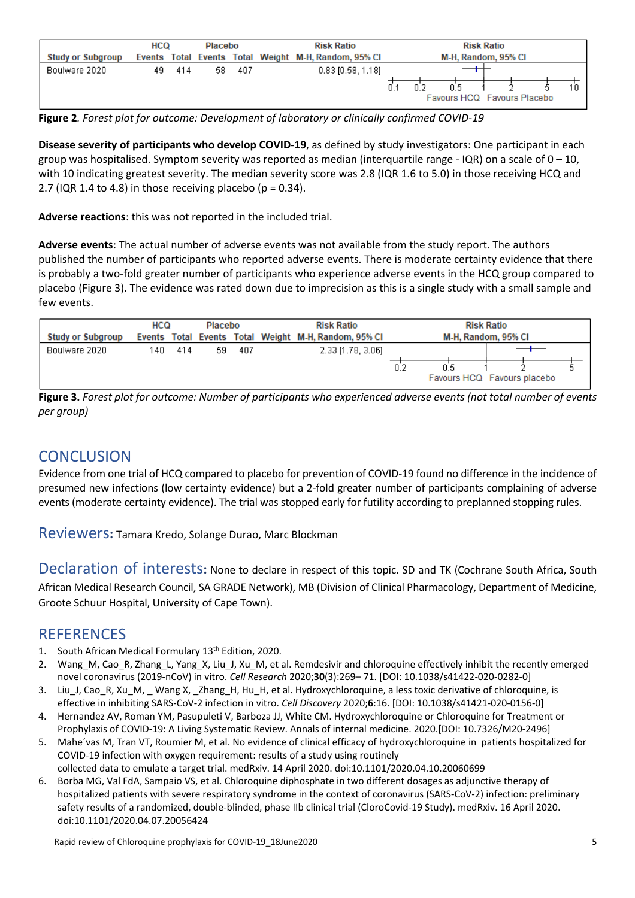|                          | <b>HCQ</b> |     | Placebo |      | <b>Risk Ratio</b> |                                                      | <b>Risk Ratio</b>                  |
|--------------------------|------------|-----|---------|------|-------------------|------------------------------------------------------|------------------------------------|
| <b>Study or Subgroup</b> |            |     |         |      |                   | Events Total Events Total Weight M-H, Random, 95% CI | M-H, Random, 95% CI                |
| Boulware 2020            | 49.        | 414 | 58      | -407 |                   | $0.83$ [0.58, 1.18]                                  | 0.5<br>Favours HCQ Favours Placebo |

**Figure 2***. Forest plot for outcome: Development of laboratory or clinically confirmed COVID‐19* 

**Disease severity of participants who develop COVID‐19**, as defined by study investigators: One participant in each group was hospitalised. Symptom severity was reported as median (interquartile range - IQR) on a scale of  $0 - 10$ , with 10 indicating greatest severity. The median severity score was 2.8 (IQR 1.6 to 5.0) in those receiving HCQ and 2.7 (IQR 1.4 to 4.8) in those receiving placebo ( $p = 0.34$ ).

**Adverse reactions**: this was not reported in the included trial.

**Adverse events**: The actual number of adverse events was not available from the study report. The authors published the number of participants who reported adverse events. There is moderate certainty evidence that there is probably a two‐fold greater number of participants who experience adverse events in the HCQ group compared to placebo (Figure 3). The evidence was rated down due to imprecision as this is a single study with a small sample and few events.

|                          | HCQ<br>Placebo |     | <b>Risk Ratio</b> |     | <b>Risk Ratio</b>                                    |                     |      |                             |  |
|--------------------------|----------------|-----|-------------------|-----|------------------------------------------------------|---------------------|------|-----------------------------|--|
| <b>Study or Subgroup</b> |                |     |                   |     | Events Total Events Total Weight M-H, Random, 95% CI | M-H, Random, 95% CI |      |                             |  |
| Boulware 2020            | 140            | 414 | 59.               | 407 | 2.33 [1.78, 3.06]                                    | 0.2                 | II 5 | Favours HCQ Favours placebo |  |

**Figure 3.** *Forest plot for outcome: Number of participants who experienced adverse events (not total number of events per group)* 

# **CONCLUSION**

Evidence from one trial of HCQ compared to placebo for prevention of COVID‐19 found no difference in the incidence of presumed new infections (low certainty evidence) but a 2‐fold greater number of participants complaining of adverse events (moderate certainty evidence). The trial was stopped early for futility according to preplanned stopping rules.

Reviewers**:** Tamara Kredo, Solange Durao, Marc Blockman

Declaration of interests**:** None to declare in respect of this topic. SD and TK (Cochrane South Africa, South African Medical Research Council, SA GRADE Network), MB (Division of Clinical Pharmacology, Department of Medicine, Groote Schuur Hospital, University of Cape Town).

### **REFERENCES**

- 1. South African Medical Formulary 13<sup>th</sup> Edition, 2020.
- 2. Wang M, Cao R, Zhang L, Yang X, Liu J, Xu M, et al. Remdesivir and chloroquine effectively inhibit the recently emerged novel coronavirus (2019‐nCoV) in vitro. *Cell Research* 2020;**30**(3):269– 71. [DOI: 10.1038/s41422‐020‐0282‐0]
- 3. Liu\_J, Cao\_R, Xu\_M, \_ Wang X, \_Zhang\_H, Hu\_H, et al. Hydroxychloroquine, a less toxic derivative of chloroquine, is effective in inhibiting SARS‐CoV‐2 infection in vitro. *Cell Discovery* 2020;**6**:16. [DOI: 10.1038/s41421‐020‐0156‐0]
- 4. Hernandez AV, Roman YM, Pasupuleti V, Barboza JJ, White CM. Hydroxychloroquine or Chloroquine for Treatment or Prophylaxis of COVID‐19: A Living Systematic Review. Annals of internal medicine. 2020.[DOI: 10.7326/M20‐2496]
- 5. Mahe´vas M, Tran VT, Roumier M, et al. No evidence of clinical efficacy of hydroxychloroquine in patients hospitalized for COVID‐19 infection with oxygen requirement: results of a study using routinely collected data to emulate a target trial. medRxiv. 14 April 2020. doi:10.1101/2020.04.10.20060699
- 6. Borba MG, Val FdA, Sampaio VS, et al. Chloroquine diphosphate in two different dosages as adjunctive therapy of hospitalized patients with severe respiratory syndrome in the context of coronavirus (SARS-CoV-2) infection: preliminary safety results of a randomized, double-blinded, phase IIb clinical trial (CloroCovid-19 Study). medRxiv. 16 April 2020. doi:10.1101/2020.04.07.20056424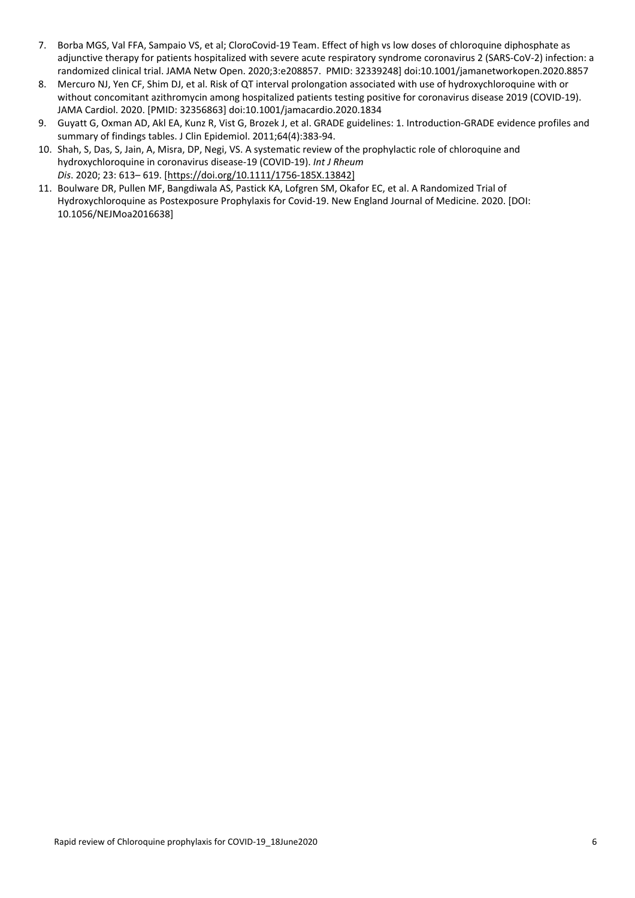- 7. Borba MGS, Val FFA, Sampaio VS, et al; CloroCovid‐19 Team. Effect of high vs low doses of chloroquine diphosphate as adjunctive therapy for patients hospitalized with severe acute respiratory syndrome coronavirus 2 (SARS‐CoV‐2) infection: a randomized clinical trial. JAMA Netw Open. 2020;3:e208857. PMID: 32339248] doi:10.1001/jamanetworkopen.2020.8857
- 8. Mercuro NJ, Yen CF, Shim DJ, et al. Risk of QT interval prolongation associated with use of hydroxychloroquine with or without concomitant azithromycin among hospitalized patients testing positive for coronavirus disease 2019 (COVID-19). JAMA Cardiol. 2020. [PMID: 32356863] doi:10.1001/jamacardio.2020.1834
- 9. Guyatt G, Oxman AD, Akl EA, Kunz R, Vist G, Brozek J, et al. GRADE guidelines: 1. Introduction‐GRADE evidence profiles and summary of findings tables. J Clin Epidemiol. 2011;64(4):383‐94.
- 10. Shah, S, Das, S, Jain, A, Misra, DP, Negi, VS. A systematic review of the prophylactic role of chloroquine and hydroxychloroquine in coronavirus disease‐19 (COVID‐19). *Int J Rheum Dis*. 2020; 23: 613– 619. [https://doi.org/10.1111/1756‐185X.13842]
- 11. Boulware DR, Pullen MF, Bangdiwala AS, Pastick KA, Lofgren SM, Okafor EC, et al. A Randomized Trial of Hydroxychloroquine as Postexposure Prophylaxis for Covid‐19. New England Journal of Medicine. 2020. [DOI: 10.1056/NEJMoa2016638]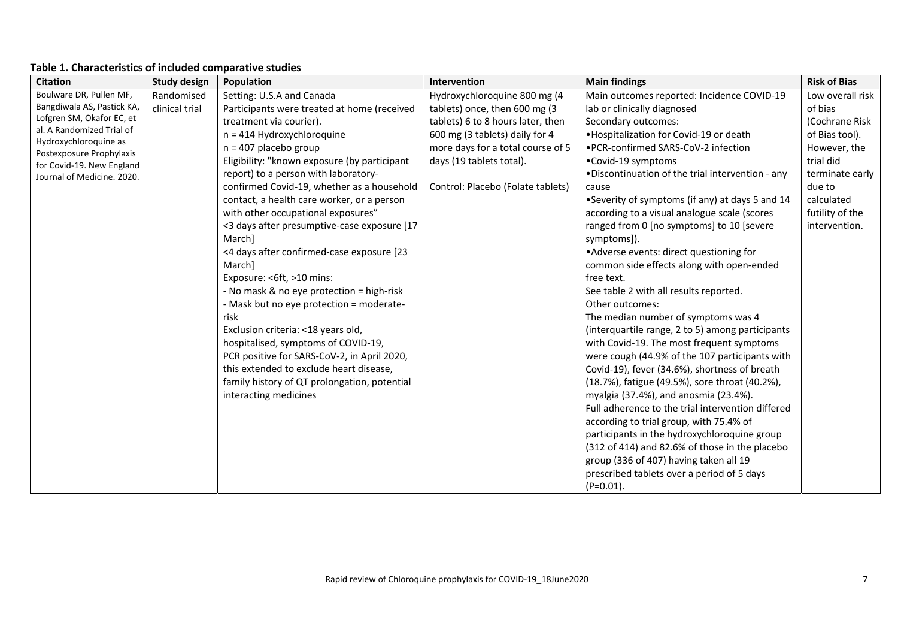| <b>Citation</b>                                    | <b>Study design</b> | Population                                   | Intervention                      | <b>Main findings</b>                              | <b>Risk of Bias</b> |
|----------------------------------------------------|---------------------|----------------------------------------------|-----------------------------------|---------------------------------------------------|---------------------|
| Boulware DR, Pullen MF,                            | Randomised          | Setting: U.S.A and Canada                    | Hydroxychloroquine 800 mg (4      | Main outcomes reported: Incidence COVID-19        | Low overall risk    |
| Bangdiwala AS, Pastick KA,                         | clinical trial      | Participants were treated at home (received  | tablets) once, then 600 mg (3     | lab or clinically diagnosed                       | of bias             |
| Lofgren SM, Okafor EC, et                          |                     | treatment via courier).                      | tablets) 6 to 8 hours later, then | Secondary outcomes:                               | (Cochrane Risk      |
| al. A Randomized Trial of<br>Hydroxychloroquine as |                     | $n = 414$ Hydroxychloroquine                 | 600 mg (3 tablets) daily for 4    | . Hospitalization for Covid-19 or death           | of Bias tool).      |
| Postexposure Prophylaxis                           |                     | $n = 407$ placebo group                      | more days for a total course of 5 | • PCR-confirmed SARS-CoV-2 infection              | However, the        |
| for Covid-19. New England                          |                     | Eligibility: "known exposure (by participant | days (19 tablets total).          | •Covid-19 symptoms                                | trial did           |
| Journal of Medicine, 2020.                         |                     | report) to a person with laboratory-         |                                   | .Discontinuation of the trial intervention - any  | terminate early     |
|                                                    |                     | confirmed Covid-19, whether as a household   | Control: Placebo (Folate tablets) | cause                                             | due to              |
|                                                    |                     | contact, a health care worker, or a person   |                                   | •Severity of symptoms (if any) at days 5 and 14   | calculated          |
|                                                    |                     | with other occupational exposures"           |                                   | according to a visual analogue scale (scores      | futility of the     |
|                                                    |                     | <3 days after presumptive-case exposure [17  |                                   | ranged from 0 [no symptoms] to 10 [severe         | intervention.       |
|                                                    |                     | March]                                       |                                   | symptoms]).                                       |                     |
|                                                    |                     | <4 days after confirmed-case exposure [23    |                                   | • Adverse events: direct questioning for          |                     |
|                                                    |                     | March]                                       |                                   | common side effects along with open-ended         |                     |
|                                                    |                     | Exposure: < 6ft, > 10 mins:                  |                                   | free text.                                        |                     |
|                                                    |                     | - No mask & no eye protection = high-risk    |                                   | See table 2 with all results reported.            |                     |
|                                                    |                     | - Mask but no eye protection = moderate-     |                                   | Other outcomes:                                   |                     |
|                                                    |                     | risk                                         |                                   | The median number of symptoms was 4               |                     |
|                                                    |                     | Exclusion criteria: <18 years old,           |                                   | (interquartile range, 2 to 5) among participants  |                     |
|                                                    |                     | hospitalised, symptoms of COVID-19,          |                                   | with Covid-19. The most frequent symptoms         |                     |
|                                                    |                     | PCR positive for SARS-CoV-2, in April 2020,  |                                   | were cough (44.9% of the 107 participants with    |                     |
|                                                    |                     | this extended to exclude heart disease,      |                                   | Covid-19), fever (34.6%), shortness of breath     |                     |
|                                                    |                     | family history of QT prolongation, potential |                                   | (18.7%), fatigue (49.5%), sore throat (40.2%),    |                     |
|                                                    |                     | interacting medicines                        |                                   | myalgia (37.4%), and anosmia (23.4%).             |                     |
|                                                    |                     |                                              |                                   | Full adherence to the trial intervention differed |                     |
|                                                    |                     |                                              |                                   | according to trial group, with 75.4% of           |                     |
|                                                    |                     |                                              |                                   | participants in the hydroxychloroquine group      |                     |
|                                                    |                     |                                              |                                   | (312 of 414) and 82.6% of those in the placebo    |                     |
|                                                    |                     |                                              |                                   | group (336 of 407) having taken all 19            |                     |
|                                                    |                     |                                              |                                   | prescribed tablets over a period of 5 days        |                     |
|                                                    |                     |                                              |                                   | $(P=0.01)$ .                                      |                     |

### **Table 1. Characteristics of included comparative studies**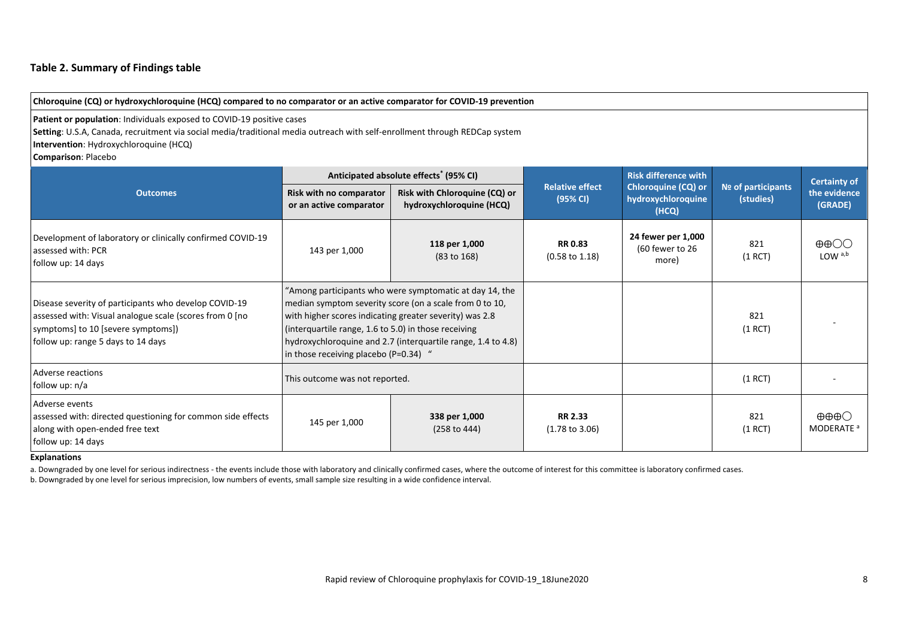#### **Table 2. Summary of Findings table**

| Chloroquine (CQ) or hydroxychloroquine (HCQ) compared to no comparator or an active comparator for COVID-19 prevention                                                                                                                                               |                                                                                                                                                                                                                                                                                                                                                |                                                           |                                             |                                                           |                                 |                                                 |
|----------------------------------------------------------------------------------------------------------------------------------------------------------------------------------------------------------------------------------------------------------------------|------------------------------------------------------------------------------------------------------------------------------------------------------------------------------------------------------------------------------------------------------------------------------------------------------------------------------------------------|-----------------------------------------------------------|---------------------------------------------|-----------------------------------------------------------|---------------------------------|-------------------------------------------------|
| Patient or population: Individuals exposed to COVID-19 positive cases<br>Setting: U.S.A, Canada, recruitment via social media/traditional media outreach with self-enrollment through REDCap system<br>Intervention: Hydroxychloroquine (HCQ)<br>Comparison: Placebo |                                                                                                                                                                                                                                                                                                                                                |                                                           |                                             |                                                           |                                 |                                                 |
|                                                                                                                                                                                                                                                                      |                                                                                                                                                                                                                                                                                                                                                | Anticipated absolute effects <sup>*</sup> (95% CI)        |                                             | <b>Risk difference with</b>                               | Nº of participants<br>(studies) | <b>Certainty of</b><br>the evidence<br>(GRADE)  |
| <b>Outcomes</b>                                                                                                                                                                                                                                                      | Risk with no comparator<br>or an active comparator                                                                                                                                                                                                                                                                                             | Risk with Chloroquine (CQ) or<br>hydroxychloroquine (HCQ) | <b>Relative effect</b><br>(95% CI)          | <b>Chloroquine (CQ) or</b><br>hydroxychloroquine<br>(HCQ) |                                 |                                                 |
| Development of laboratory or clinically confirmed COVID-19<br>assessed with: PCR<br>follow up: 14 days                                                                                                                                                               | 143 per 1,000                                                                                                                                                                                                                                                                                                                                  | 118 per 1,000<br>(83 to 168)                              | <b>RR0.83</b><br>$(0.58 \text{ to } 1.18)$  | 24 fewer per 1,000<br>(60 fewer to 26<br>more)            | 821<br>(1 RCT)                  | $\oplus$ $\oplus$ $\odot$<br>LOW <sup>a,b</sup> |
| Disease severity of participants who develop COVID-19<br>assessed with: Visual analogue scale (scores from 0 [no<br>symptoms] to 10 [severe symptoms])<br>follow up: range 5 days to 14 days                                                                         | "Among participants who were symptomatic at day 14, the<br>median symptom severity score (on a scale from 0 to 10,<br>with higher scores indicating greater severity) was 2.8<br>(interquartile range, 1.6 to 5.0) in those receiving<br>hydroxychloroquine and 2.7 (interquartile range, 1.4 to 4.8)<br>in those receiving placebo (P=0.34) " |                                                           |                                             |                                                           | 821<br>(1 RCT)                  |                                                 |
| Adverse reactions<br>follow up: n/a                                                                                                                                                                                                                                  | This outcome was not reported.                                                                                                                                                                                                                                                                                                                 |                                                           |                                             |                                                           | (1 RCT)                         |                                                 |
| Adverse events<br>assessed with: directed questioning for common side effects<br>along with open-ended free text<br>follow up: 14 days                                                                                                                               | 145 per 1,000                                                                                                                                                                                                                                                                                                                                  | 338 per 1,000<br>(258 to 444)                             | <b>RR 2.33</b><br>$(1.78 \text{ to } 3.06)$ |                                                           | 821<br>(1 RCT)                  | ⊕⊕⊕⊜<br>MODERATE <sup>a</sup>                   |

#### **Explanations**

a. Downgraded by one level for serious indirectness - the events include those with laboratory and clinically confirmed cases, where the outcome of interest for this committee is laboratory confirmed cases.

b. Downgraded by one level for serious imprecision, low numbers of events, small sample size resulting in a wide confidence interval.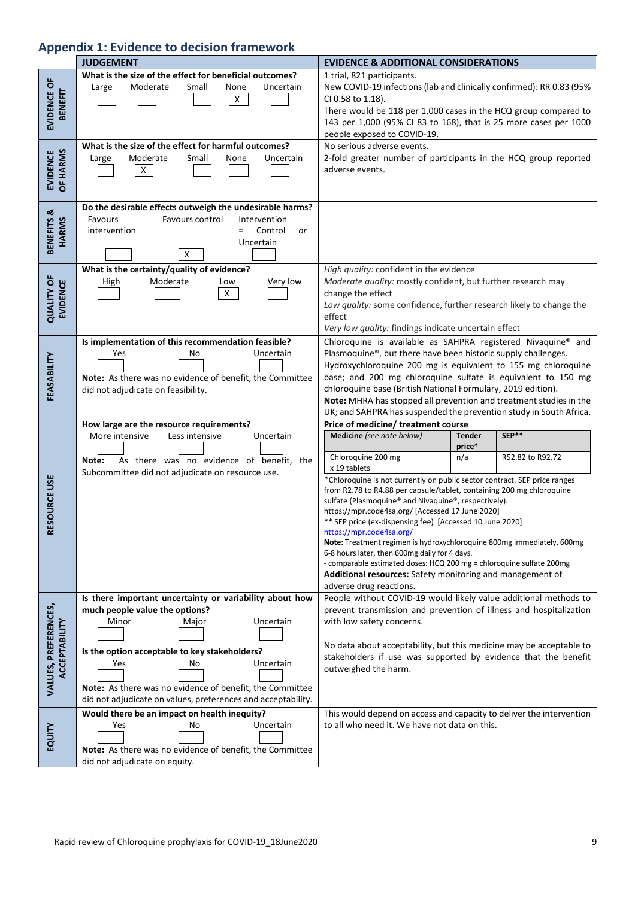# **Appendix 1: Evidence to decision framework**

|                                              | <b>JUDGEMENT</b>                                                                                                                                                                                                                                                                                                                | <b>EVIDENCE &amp; ADDITIONAL CONSIDERATIONS</b>                                                                                                                                                                                                                                                                                                                                                                                                                                                                                                                                                                                                                                                                                                                                                                            |  |  |  |  |
|----------------------------------------------|---------------------------------------------------------------------------------------------------------------------------------------------------------------------------------------------------------------------------------------------------------------------------------------------------------------------------------|----------------------------------------------------------------------------------------------------------------------------------------------------------------------------------------------------------------------------------------------------------------------------------------------------------------------------------------------------------------------------------------------------------------------------------------------------------------------------------------------------------------------------------------------------------------------------------------------------------------------------------------------------------------------------------------------------------------------------------------------------------------------------------------------------------------------------|--|--|--|--|
| EVIDENCE OF<br><b>BENEFIT</b>                | What is the size of the effect for beneficial outcomes?<br>Moderate<br>Small<br>None<br>Uncertain<br>Large<br>$\mathsf{X}$                                                                                                                                                                                                      | 1 trial, 821 participants.<br>New COVID-19 infections (lab and clinically confirmed): RR 0.83 (95%<br>CI 0.58 to 1.18).<br>There would be 118 per 1,000 cases in the HCQ group compared to<br>143 per 1,000 (95% CI 83 to 168), that is 25 more cases per 1000<br>people exposed to COVID-19.                                                                                                                                                                                                                                                                                                                                                                                                                                                                                                                              |  |  |  |  |
| OF HARMS<br><b>EVIDENCE</b>                  | What is the size of the effect for harmful outcomes?<br>Moderate<br>Small<br>None<br>Uncertain<br>Large<br>$\mathsf X$                                                                                                                                                                                                          | No serious adverse events.<br>2-fold greater number of participants in the HCQ group reported<br>adverse events.                                                                                                                                                                                                                                                                                                                                                                                                                                                                                                                                                                                                                                                                                                           |  |  |  |  |
| BENEFITS &<br><b>HARMS</b>                   | Do the desirable effects outweigh the undesirable harms?<br>Favours control<br>Intervention<br>Favours<br>Control<br>intervention<br>$=$<br>or<br>Uncertain<br>х                                                                                                                                                                |                                                                                                                                                                                                                                                                                                                                                                                                                                                                                                                                                                                                                                                                                                                                                                                                                            |  |  |  |  |
| <b>QUALITY OF</b><br><b>EVIDENCE</b>         | What is the certainty/quality of evidence?<br>Moderate<br>Very low<br>High<br>Low<br>$\mathsf{X}$                                                                                                                                                                                                                               | High quality: confident in the evidence<br>Moderate quality: mostly confident, but further research may<br>change the effect<br>Low quality: some confidence, further research likely to change the<br>effect<br>Very low quality: findings indicate uncertain effect                                                                                                                                                                                                                                                                                                                                                                                                                                                                                                                                                      |  |  |  |  |
| FEASABILITY                                  | Is implementation of this recommendation feasible?<br>Uncertain<br>Yes<br>No<br>Note: As there was no evidence of benefit, the Committee<br>did not adjudicate on feasibility.                                                                                                                                                  | Chloroquine is available as SAHPRA registered Nivaquine® and<br>Plasmoquine®, but there have been historic supply challenges.<br>Hydroxychloroquine 200 mg is equivalent to 155 mg chloroquine<br>base; and 200 mg chloroquine sulfate is equivalent to 150 mg<br>chloroquine base (British National Formulary, 2019 edition).<br>Note: MHRA has stopped all prevention and treatment studies in the<br>UK; and SAHPRA has suspended the prevention study in South Africa.                                                                                                                                                                                                                                                                                                                                                 |  |  |  |  |
| RESOURCE USE                                 | How large are the resource requirements?<br>Less intensive<br>More intensive<br>Uncertain<br>As there was no evidence of benefit, the<br>Note:<br>Subcommittee did not adjudicate on resource use.                                                                                                                              | Price of medicine/ treatment course<br>Medicine (see note below)<br>SEP**<br><b>Tender</b><br>price*<br>Chloroquine 200 mg<br>n/a<br>R52.82 to R92.72<br>x 19 tablets<br>*Chloroquine is not currently on public sector contract. SEP price ranges<br>from R2.78 to R4.88 per capsule/tablet, containing 200 mg chloroquine<br>sulfate (Plasmoquine® and Nivaquine®, respectively).<br>https://mpr.code4sa.org/ [Accessed 17 June 2020]<br>** SEP price (ex-dispensing fee) [Accessed 10 June 2020]<br>https://mpr.code4sa.org/<br>Note: Treatment regimen is hydroxychloroquine 800mg immediately, 600mg<br>6-8 hours later, then 600mg daily for 4 days.<br>- comparable estimated doses: HCQ 200 mg = chloroquine sulfate 200mg<br>Additional resources: Safety monitoring and management of<br>adverse drug reactions. |  |  |  |  |
| VALUES, PREFERENCES,<br><b>ACCEPTABILITY</b> | Is there important uncertainty or variability about how<br>much people value the options?<br>Minor<br>Uncertain<br>Major<br>Is the option acceptable to key stakeholders?<br>Uncertain<br>Yes<br>No<br>Note: As there was no evidence of benefit, the Committee<br>did not adjudicate on values, preferences and acceptability. | People without COVID-19 would likely value additional methods to<br>prevent transmission and prevention of illness and hospitalization<br>with low safety concerns.<br>No data about acceptability, but this medicine may be acceptable to<br>stakeholders if use was supported by evidence that the benefit<br>outweighed the harm.                                                                                                                                                                                                                                                                                                                                                                                                                                                                                       |  |  |  |  |
| EQUITY                                       | Would there be an impact on health inequity?<br>Uncertain<br>Yes<br>No<br>Note: As there was no evidence of benefit, the Committee<br>did not adjudicate on equity.                                                                                                                                                             | This would depend on access and capacity to deliver the intervention<br>to all who need it. We have not data on this.                                                                                                                                                                                                                                                                                                                                                                                                                                                                                                                                                                                                                                                                                                      |  |  |  |  |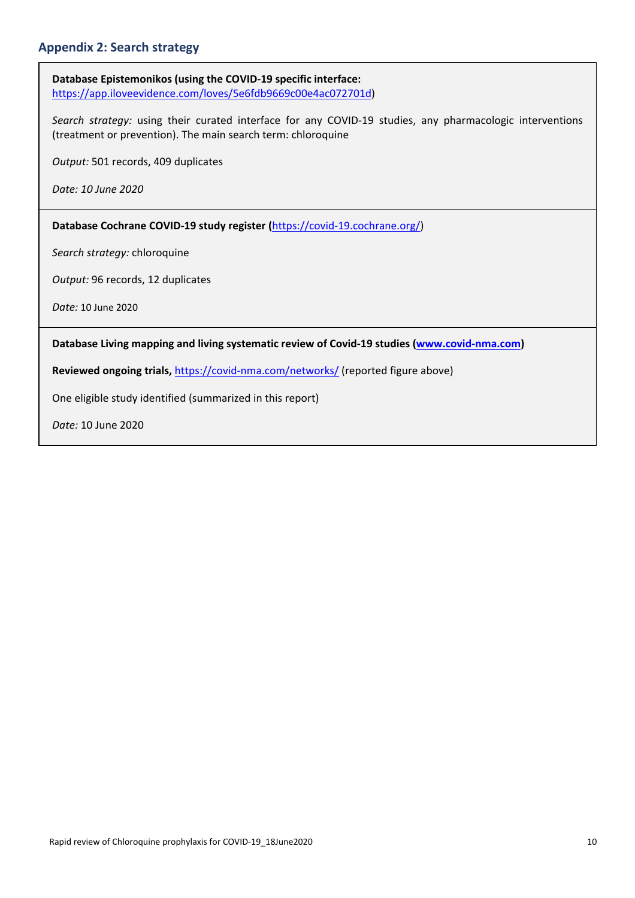### **Appendix 2: Search strategy**

**Database Epistemonikos (using the COVID‐19 specific interface:**  https://app.iloveevidence.com/loves/5e6fdb9669c00e4ac072701d)

*Search strategy:*  using their curated interface for any COVID‐19 studies, any pharmacologic interventions (treatment or prevention). The main search term: chloroquine

*Output:* 501 records, 409 duplicates

*Date: 10 June 2020* 

**Database Cochrane COVID‐19 study register (**https://covid‐19.cochrane.org/)

*Search strategy:* chloroquine

*Output:* 96 records, 12 duplicates

*Date:* 10 June 2020

Database Living mapping and living systematic review of Covid-19 studies (www.covid-nma.com)

Reviewed ongoing trials, https://covid-nma.com/networks/ (reported figure above)

One eligible study identified (summarized in this report)

*Date:* 10 June 2020